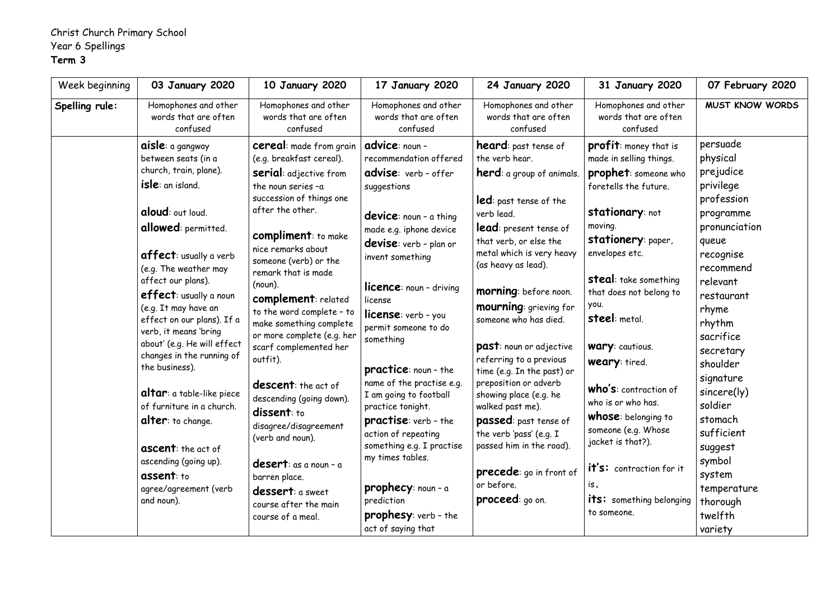## Christ Church Primary School Year 6 Spellings **Term 3**

| Week beginning | 03 January 2020                                                                                                                                                                                                                                                                                                                                                                                                                                                                                                                                                                                                 | <b>10 January 2020</b>                                                                                                                                                                                                                                                                                                                                                                                                                                                                                                                                                                                                                                                           | 17 January 2020                                                                                                                                                                                                                                                                                                                                                                                                                                                                                                                                                                                                                | <b>24 January 2020</b>                                                                                                                                                                                                                                                                                                                                                                                                                                                                                                                                                                                                                     | <b>31 January 2020</b>                                                                                                                                                                                                                                                                                                                                                                                                                                                                                                                                         | 07 February 2020                                                                                                                                                                                                                                                                                                                                                 |
|----------------|-----------------------------------------------------------------------------------------------------------------------------------------------------------------------------------------------------------------------------------------------------------------------------------------------------------------------------------------------------------------------------------------------------------------------------------------------------------------------------------------------------------------------------------------------------------------------------------------------------------------|----------------------------------------------------------------------------------------------------------------------------------------------------------------------------------------------------------------------------------------------------------------------------------------------------------------------------------------------------------------------------------------------------------------------------------------------------------------------------------------------------------------------------------------------------------------------------------------------------------------------------------------------------------------------------------|--------------------------------------------------------------------------------------------------------------------------------------------------------------------------------------------------------------------------------------------------------------------------------------------------------------------------------------------------------------------------------------------------------------------------------------------------------------------------------------------------------------------------------------------------------------------------------------------------------------------------------|--------------------------------------------------------------------------------------------------------------------------------------------------------------------------------------------------------------------------------------------------------------------------------------------------------------------------------------------------------------------------------------------------------------------------------------------------------------------------------------------------------------------------------------------------------------------------------------------------------------------------------------------|----------------------------------------------------------------------------------------------------------------------------------------------------------------------------------------------------------------------------------------------------------------------------------------------------------------------------------------------------------------------------------------------------------------------------------------------------------------------------------------------------------------------------------------------------------------|------------------------------------------------------------------------------------------------------------------------------------------------------------------------------------------------------------------------------------------------------------------------------------------------------------------------------------------------------------------|
| Spelling rule: | Homophones and other<br>words that are often<br>confused                                                                                                                                                                                                                                                                                                                                                                                                                                                                                                                                                        | Homophones and other<br>words that are often<br>confused                                                                                                                                                                                                                                                                                                                                                                                                                                                                                                                                                                                                                         | Homophones and other<br>words that are often<br>confused                                                                                                                                                                                                                                                                                                                                                                                                                                                                                                                                                                       | Homophones and other<br>words that are often<br>confused                                                                                                                                                                                                                                                                                                                                                                                                                                                                                                                                                                                   | Homophones and other<br>words that are often<br>confused                                                                                                                                                                                                                                                                                                                                                                                                                                                                                                       | <b>MUST KNOW WORDS</b>                                                                                                                                                                                                                                                                                                                                           |
|                | aisle: a gangway<br>between seats (in a<br>church, train, plane).<br>isle: an island.<br>aloud: out loud.<br>allowed: permitted.<br><b>affect:</b> usually a verb<br>(e.g. The weather may<br>affect our plans).<br>effect: usually a noun<br>(e.g. It may have an<br>effect on our plans). If a<br>verb, it means 'bring<br>about' (e.g. He will effect<br>changes in the running of<br>the business).<br>altar: a table-like piece<br>of furniture in a church.<br><b>alter:</b> to change.<br><b>ascent:</b> the act of<br>ascending (going up).<br><b>assent:</b> to<br>agree/agreement (verb<br>and noun). | <b>cereal:</b> made from grain<br>(e.g. breakfast cereal).<br><b>serial:</b> adjective from<br>the noun series -a<br>succession of things one<br>after the other.<br><b>compliment:</b> to make<br>nice remarks about<br>someone (verb) or the<br>remark that is made<br>$(noun)$ .<br>complement: related<br>to the word complete - to<br>make something complete<br>or more complete (e.g. her<br>scarf complemented her<br>outfit).<br><b>descent:</b> the act of<br>descending (going down).<br>dissent: to<br>disagree/disagreement<br>(verb and noun).<br><b>desert</b> : as a noun - a<br>barren place.<br>dessert: a sweet<br>course after the main<br>course of a meal. | advice: noun -<br>recommendation offered<br>advise: verb-offer<br>suggestions<br><b>device</b> : noun - a thing<br>made e.g. iphone device<br>devise: verb - plan or<br>invent something<br><b>licence:</b> noun - driving<br>license<br><b>license:</b> verb - you<br>permit someone to do<br>something<br><b>practice:</b> noun - the<br>name of the practise e.g.<br>I am going to football<br>practice tonight.<br><b>practise</b> : verb - the<br>action of repeating<br>something e.g. I practise<br>my times tables.<br><b>prophecy</b> : $noun - a$<br>prediction<br><b>prophesy:</b> verb - the<br>act of saying that | <b>heard:</b> past tense of<br>the verb hear.<br>herd: a group of animals.<br><b>led</b> : past tense of the<br>verb lead.<br>lead: present tense of<br>that verb, or else the<br>metal which is very heavy<br>(as heavy as lead).<br>morning: before noon.<br><b>mourning:</b> grieving for<br>someone who has died.<br>past: noun or adjective<br>referring to a previous<br>time (e.g. In the past) or<br>preposition or adverb<br>showing place (e.g. he<br>walked past me).<br><b>passed:</b> past tense of<br>the verb 'pass' (e.g. I<br>passed him in the road).<br>precede: go in front of<br>or before.<br><b>proceed:</b> go on. | <b>profit:</b> money that is<br>made in selling things.<br><b>prophet:</b> someone who<br>foretells the future.<br><b>stationary:</b> not<br>moving.<br>stationery: paper,<br>envelopes etc.<br><b>steal:</b> take something<br>that does not belong to<br>you.<br><b>steel:</b> metal.<br><b>Wary:</b> cautious.<br><b>weary:</b> tired.<br><b>who's:</b> contraction of<br>who is or who has.<br><b>whose:</b> belonging to<br>someone (e.g. Whose<br>jacket is that?).<br>it's: contraction for it<br>is.<br><b>its:</b> something belonging<br>to someone. | persuade<br>physical<br>prejudice<br>privilege<br>profession<br>programme<br>pronunciation<br>queue<br>recognise<br>recommend<br>relevant<br>restaurant<br>rhyme<br>rhythm<br>sacrifice<br>secretary<br>shoulder<br>signature<br>sincere(ly)<br>soldier<br>stomach<br>sufficient<br>suggest<br>symbol<br>system<br>temperature<br>thorough<br>twelfth<br>variety |